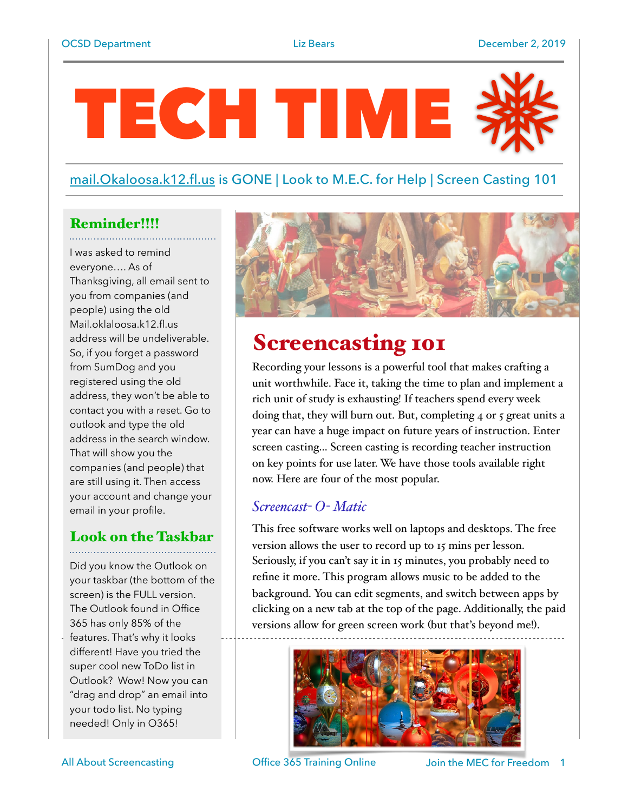# TECH TIME

## [mail.Okaloosa.k12.fl.us](http://mail.Okaloosa.k12.fl.us) is GONE | Look to M.E.C. for Help | Screen Casting 101

## Reminder!!!!

I was asked to remind everyone…. As of Thanksgiving, all email sent to you from companies (and people) using the old Mail.oklaloosa.k12.fl.us address will be undeliverable. So, if you forget a password from SumDog and you registered using the old address, they won't be able to contact you with a reset. Go to outlook and type the old address in the search window. That will show you the companies (and people) that are still using it. Then access your account and change your email in your profile.

# Look on the Taskbar

Did you know the Outlook on your taskbar (the bottom of the screen) is the FULL version. The Outlook found in Office 365 has only 85% of the

features. That's why it looks different! Have you tried the super cool new ToDo list in Outlook? Wow! Now you can "drag and drop" an email into your todo list. No typing needed! Only in O365!



# Screencasting 101

Recording your lessons is a powerful tool that makes crafting a unit worthwhile. Face it, taking the time to plan and implement a rich unit of study is exhausting! If teachers spend every week doing that, they will burn out. But, completing 4 or 5 great units a year can have a huge impact on future years of instruction. Enter screen casting… Screen casting is recording teacher instruction on key points for use later. We have those tools available right now. Here are four of the most popular.

## *Screencast- O- Matic*

This free software works well on laptops and desktops. The free version allows the user to record up to 15 mins per lesson. Seriously, if you can't say it in 15 minutes, you probably need to refine it more. This program allows music to be added to the background. You can edit segments, and switch between apps by clicking on a new tab at the top of the page. Additionally, the paid versions allow for green screen work (but that's beyond me!).